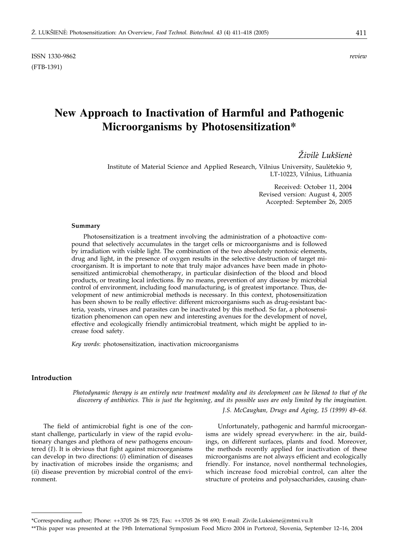# **New Approach to Inactivation of Harmful and Pathogenic Microorganisms by Photosensitization\***

# Živilė Lukšienė

Institute of Material Science and Applied Research, Vilnius University, Saulėtekio 9, LT-10223, Vilnius, Lithuania

> Received: October 11, 2004 Revised version: August 4, 2005 Accepted: September 26, 2005

#### **Summary**

Photosensitization is a treatment involving the administration of a photoactive compound that selectively accumulates in the target cells or microorganisms and is followed by irradiation with visible light. The combination of the two absolutely nontoxic elements, drug and light, in the presence of oxygen results in the selective destruction of target microorganism. It is important to note that truly major advances have been made in photosensitized antimicrobial chemotherapy, in particular disinfection of the blood and blood products, or treating local infections. By no means, prevention of any disease by microbial control of environment, including food manufacturing, is of greatest importance. Thus, development of new antimicrobial methods is necessary. In this context, photosensitization has been shown to be really effective: different microorganisms such as drug-resistant bacteria, yeasts, viruses and parasites can be inactivated by this method. So far, a photosensitization phenomenon can open new and interesting avenues for the development of novel, effective and ecologically friendly antimicrobial treatment, which might be applied to increase food safety.

*Key words*: photosensitization, inactivation microorganisms

# **Introduction**

*Photodynamic therapy is an entirely new treatment modality and its development can be likened to that of the discovery of antibiotics. This is just the beginning, and its possible uses are only limited by the imagination.*

*J.S. McCaughan, Drugs and Aging, 15 (1999) 49–68.*

The field of antimicrobial fight is one of the constant challenge, particularly in view of the rapid evolutionary changes and plethora of new pathogens encountered (*1*). It is obvious that fight against microorganisms can develop in two directions: (*i*) elimination of diseases by inactivation of microbes inside the organisms; and (*ii*) disease prevention by microbial control of the environment.

Unfortunately, pathogenic and harmful microorganisms are widely spread everywhere: in the air, buildings, on different surfaces, plants and food. Moreover, the methods recently applied for inactivation of these microorganisms are not always efficient and ecologically friendly. For instance, novel nonthermal technologies, which increase food microbial control, can alter the structure of proteins and polysaccharides, causing chan-

<sup>\*</sup>Corresponding author; Phone: ++3705 26 98 725; Fax: ++3705 26 98 690; E-mail: Zivile.Luksiene@mtmi.vu.lt

<sup>\*\*</sup>This paper was presented at the 19th International Symposium Food Micro 2004 in Portorož, Slovenia, September 12-16, 2004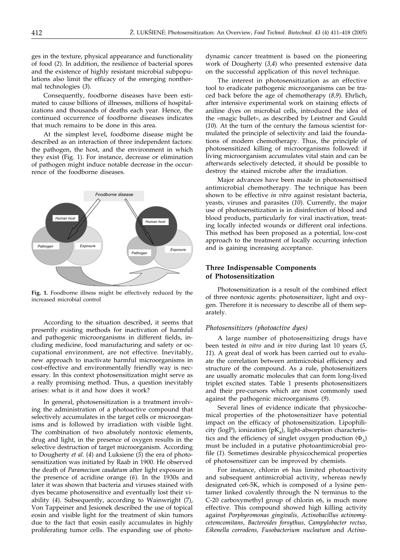ges in the texture, physical appearance and functionality of food (*2*). In addition, the resilience of bacterial spores and the existence of highly resistant microbial subpopulations also limit the efficacy of the emerging nonthermal technologies (*3*).

Consequently, foodborne diseases have been estimated to cause billions of illnesses, millions of hospitalizations and thousands of deaths each year. Hence, the continued occurrence of foodborne diseases indicates that much remains to be done in this area.

At the simplest level, foodborne disease might be described as an interaction of three independent factors: the pathogen, the host, and the environment in which they exist (Fig. 1). For instance, decrease or elimination of pathogen might induce notable decrease in the occurrence of the foodborne diseases.



**Fig. 1.** Foodborne illness might be effectively reduced by the increased microbial control

According to the situation described, it seems that presently existing methods for inactivation of harmful and pathogenic microorganisms in different fields, including medicine, food manufacturing and safety or occupational environment, are not effective. Inevitably, new approach to inactivate harmful microorganisms in cost-effective and environmentally friendly way is necessary. In this context photosensitization might serve as a really promising method. Thus, a question inevitably arises: what is it and how does it work?

In general, photosensitization is a treatment involving the administration of a photoactive compound that selectively accumulates in the target cells or microorganisms and is followed by irradiation with visible light. The combination of two absolutely nontoxic elements, drug and light, in the presence of oxygen results in the selective destruction of target microorganism. According to Dougherty *et al.* (*4*) and Luksiene (*5*) the era of photosensitization was initiated by Raab in 1900*.* He observed the death of *Paramecium caudatum* after light exposure in the presence of acridine orange (*6*)*.* In the 1930s and later it was shown that bacteria and viruses stained with dyes became photosensitive and eventually lost their viability (*4*). Subsequently, according to Wainwright (7), Von Tappeiner and Jesionek described the use of topical eosin and visible light for the treatment of skin tumors due to the fact that eosin easily accumulates in highly proliferating tumor cells. The expanding use of photodynamic cancer treatment is based on the pioneering work of Dougherty (*3,4*) who presented extensive data on the successful application of this novel technique.

The interest in photosensitization as an effective tool to eradicate pathogenic microorganisms can be traced back before the age of chemotherapy (*8,9*). Ehrlich, after intensive experimental work on staining effects of aniline dyes on microbial cells, introduced the idea of the »magic bullet«, as described by Leistner and Gould (*10*)*.* At the turn of the century the famous scientist formulated the principle of selectivity and laid the foundations of modern chemotherapy. Thus, the principle of photosensitized killing of microorganisms followed: if living microorganism accumulates vital stain and can be afterwards selectively detected, it should be possible to destroy the stained microbe after the irradiation.

Major advances have been made in photosensitised antimicrobial chemotherapy. The technique has been shown to be effective *in vitro* against resistant bacteria, yeasts, viruses and parasites (*10*). Currently, the major use of photosensitization is in disinfection of blood and blood products, particularly for viral inactivation, treating locally infected wounds or different oral infections. This method has been proposed as a potential, low-cost approach to the treatment of locally occurring infection and is gaining increasing acceptance.

# **Three Indispensable Components of Photosensitization**

Photosensitization is a result of the combined effect of three nontoxic agents: photosensitizer, light and oxygen. Therefore it is necessary to describe all of them separately.

#### *Photosensitizers (photoactive dyes)*

A large number of photosensitizing drugs have been tested *in vitro* and *in vivo* during last 10 years (*5, 11*). A great deal of work has been carried out to evaluate the correlation between antimicrobial efficiency and structure of the compound. As a rule, photosensitizers are usually aromatic molecules that can form long-lived triplet excited states. Table 1 presents photosensitizers and their pre-cursors which are most commonly used against the pathogenic microorganisms (*9*).

Several lines of evidence indicate that physicochemical properties of the photosensitizer have potential impact on the efficacy of photosensitization. Lipophilicity (logP), ionization ( $pK_a$ ), light-absorption characteristics and the efficiency of singlet oxygen production  $(\Phi_{\lambda})$ must be included in a putative photoantimicrobial profile (*1*). Sometimes desirable physicochemical properties of photosensitizer can be improved by chemists.

For instance, chlorin e6 has limited photoactivity and subsequent antimicrobial activity, whereas newly designated ce6-5K, which is composed of a lysine pentamer linked covalently through the N terminus to the C-20 carboxymethyl group of chlorin e6, is much more effective. This compound showed high killing activity against *Porphyromonas gingivalis, Actinobacillus actinomycetemcomitans, Bacteroides forsythus, Campylobacter rectus, Eikenella corrodens, Fusobacterium nucleatum* and *Actino-*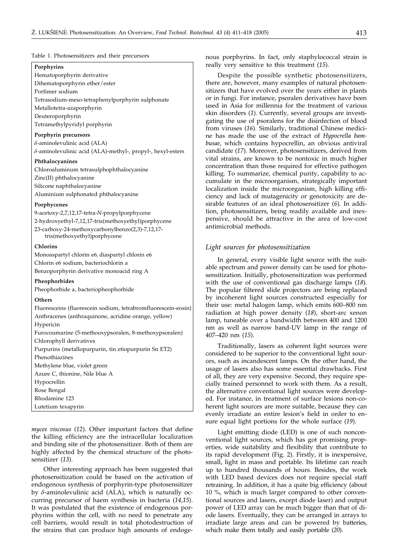#### Table 1. Photosensitizers and their precursors

#### **Porphyrins**

Hematoporphyrin derivative Dihematoporphyrin ether/ester

Porfimer sodium

Tetrasodium-meso-tetraphenylporphyrin sulphonate

Metallotetra-azaporphyrin

Deuteroporphyrin

Tetramethylpyridyl porphyrin

#### **Porphyrin precursors**

 $\delta$ -aminolevulinic acid (ALA)  $\delta$ -aminolevulinic acid (ALA)-methyl-, propyl-, hexyl-esters

#### **Phthalocyanines**

Chloroaluminum tetrasulphophthalocyanine Zinc(II) phthalocyanine Silicone naphthalocyanine Aluminium sulphonated phthalocyanine

#### **Porphycenes**

9-acetoxy-2,7,12,17-tetra-*N*-propylporphycene 2-hydroxyethyl-7,12,17-tris(methoxyethyl)porphycene 23-carboxy-24-methoxycarbonylbenzo(2,3)-7,12,17 tris(methoxyethyl)porphycene

#### **Chlorins**

Monoaspartyl chlorin e6, diaspartyl chlorin e6 Chlorin e6 sodium, bacteriochlorin a Benzoporphyrin derivative monoacid ring A

**Pheophorbides**

Pheophorbide a, bacteriopheophorbide

#### **Others**

Fluoresceins (fluorescein sodium, tetrabromfluorescein-eosin) Anthracenes (anthraquinone, acridine orange, yellow) Hypericin Furocoumarine (5-methooxypsoralen, 8-methoxypsoralen) Chlorophyll derivatives Purpurins (metallopurpurin, tin etiopurpurin Sn ET2) Phenothiazines Methylene blue, violet green Azure C, thionine, Nile blue A Hypocrellin Rose Bengal Rhodamine 123 Lutetium texapyrin

*myces viscosus* (*12*). Other important factors that define the killing efficiency are the intracellular localization and binding site of the photosensitizer. Both of them are highly affected by the chemical structure of the photosensitizer (*13*).

Other interesting approach has been suggested that photosensitization could be based on the activation of endogenous synthesis of porphyrin-type photosensitizer by  $\delta$ -aminolevulinic acid (ALA), which is naturally occurring precursor of haem synthesis in bacteria (*14,15*). It was postulated that the existence of endogenous porphyrins within the cell, with no need to penetrate any cell barriers, would result in total photodestruction of the strains that can produce high amounts of endogenous porphyrins. In fact, only staphylococcal strain is really very sensitive to this treatment (*15*).

Despite the possible synthetic photosensitizers, there are, however, many examples of natural photosensitizers that have evolved over the years either in plants or in fungi. For instance, psoralen derivatives have been used in Asia for millennia for the treatment of various skin disorders (*1*). Currently, several groups are investigating the use of psoralens for the disinfection of blood from viruses (*16*). Similarly, traditional Chinese medicine has made the use of the extract of *Hypocrella bambusae*, which contains hypocrellin, an obvious antiviral candidate (*17*). Moreover, photosensitizers, derived from vital strains, are known to be nontoxic in much higher concentration than those required for effective pathogen killing. To summarize, chemical purity, capability to accumulate in the microorganism, strategically important localization inside the microorganism, high killing efficiency and lack of mutagenicity or genotoxicity are desirable features of an ideal photosensitizer (*6*). In addition, photosensitizers, being readily available and inexpensive, should be attractive in the area of low-cost antimicrobial methods.

## *Light sources for photosensitization*

In general, every visible light source with the suitable spectrum and power density can be used for photosensitization. Initially, photosensitization was performed with the use of conventional gas discharge lamps (*18*). The popular filtered slide projectors are being replaced by incoherent light sources constructed especially for their use: metal halogen lamp, which emits 600–800 nm radiation at high power density (*18*), short-arc xenon lamp, tuneable over a bandwidth between 400 and 1200 nm as well as narrow band-UV lamp in the range of 407–420 nm (*15*).

Traditionally, lasers as coherent light sources were considered to be superior to the conventional light sources, such as incandescent lamps. On the other hand, the usage of lasers also has some essential drawbacks. First of all, they are very expensive. Second, they require specially trained personnel to work with them. As a result, the alternative conventional light sources were developed. For instance, in treatment of surface lesions non-coherent light sources are more suitable, because they can evenly irradiate an entire lesion's field in order to ensure equal light portions for the whole surface (*19*).

Light emitting diode (LED) is one of such nonconventional light sources, which has got promising properties, wide suitability and flexibility that contribute to its rapid development (Fig. 2). Firstly, it is inexpensive, small, light in mass and portable. Its lifetime can reach up to hundred thousands of hours. Besides, the work with LED based devices does not require special staff retraining. In addition, it has a quite big efficiency (about 10 %, which is much larger compared to other conventional sources and lasers, except diode laser) and output power of LED array can be much bigger than that of diode lasers. Eventually, they can be arranged in arrays to irradiate large areas and can be powered by batteries, which make them totally and easily portable (*20*).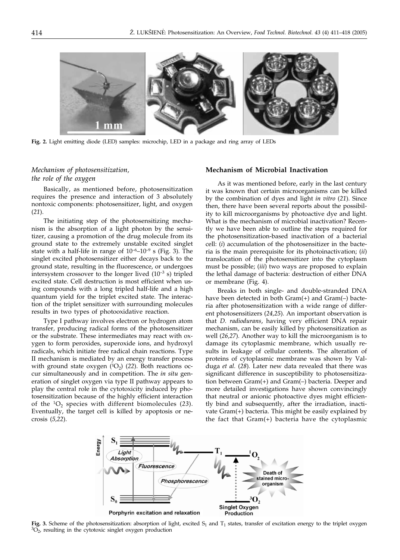

**Fig. 2.** Light emitting diode (LED) samples: microchip, LED in a package and ring array of LEDs

# *Mechanism of photosensitization, the role of the oxygen*

Basically, as mentioned before, photosensitization requires the presence and interaction of 3 absolutely nontoxic components: photosensitizer, light, and oxygen (*21*).

The initiating step of the photosensitizing mechanism is the absorption of a light photon by the sensitizer, causing a promotion of the drug molecule from its ground state to the extremely unstable excited singlet state with a half-life in range of  $10^{-6}$ – $10^{-9}$  s (Fig. 3). The singlet excited photosensitizer either decays back to the ground state, resulting in the fluorescence, or undergoes intersystem crossover to the longer lived  $(10^{-3} s)$  tripled excited state. Cell destruction is most efficient when using compounds with a long tripled half-life and a high quantum yield for the triplet excited state. The interaction of the triplet sensitizer with surrounding molecules results in two types of photooxidative reaction.

Type I pathway involves electron or hydrogen atom transfer, producing radical forms of the photosensitizer or the substrate. These intermediates may react with oxygen to form peroxides, superoxide ions, and hydroxyl radicals, which initiate free radical chain reactions. Type II mechanism is mediated by an energy transfer process with ground state oxygen  $({}^{1}O_{2})$  (22). Both reactions occur simultaneously and in competition. The *in situ* generation of singlet oxygen via type II pathway appears to play the central role in the cytotoxicity induced by photosensitization because of the highly efficient interaction of the  ${}^{1}O_{2}$  species with different biomolecules (23). Eventually, the target cell is killed by apoptosis or necrosis (*5,22*).

### **Mechanism of Microbial Inactivation**

As it was mentioned before, early in the last century it was known that certain microorganisms can be killed by the combination of dyes and light *in vitro* (*21*). Since then, there have been several reports about the possibility to kill microorganisms by photoactive dye and light. What is the mechanism of microbial inactivation? Recently we have been able to outline the steps required for the photosensitization-based inactivation of a bacterial cell: (*i*) accumulation of the photosensitizer in the bacteria is the main prerequisite for its photoinactivation; (*ii*) translocation of the photosensitizer into the cytoplasm must be possible; (*iii*) two ways are proposed to explain the lethal damage of bacteria: destruction of either DNA or membrane (Fig. 4).

Breaks in both single- and double-stranded DNA have been detected in both Gram(+) and Gram(–) bacteria after photosensitization with a wide range of different photosensitizers (*24,25*)*.* An important observation is that *D. radiodurans*, having very efficient DNA repair mechanism, can be easily killed by photosensitization as well (*26,27*)*.* Another way to kill the microorganism is to damage its cytoplasmic membrane, which usually results in leakage of cellular contents. The alteration of proteins of cytoplasmic membrane was shown by Valduga *et al.* (*28*)*.* Later new data revealed that there was significant difference in susceptibility to photosensitization between Gram(+) and Gram(–) bacteria. Deeper and more detailed investigations have shown convincingly that neutral or anionic photoactive dyes might efficiently bind and subsequently, after the irradiation, inactivate Gram(+) bacteria. This might be easily explained by the fact that Gram(+) bacteria have the cytoplasmic



**Fig. 3.** Scheme of the photosensitization: absorption of light, excited S<sub>1</sub> and T<sub>1</sub> states, transfer of excitation energy to the triplet oxygen  ${}^{3}O_{2}$ , resulting in the cytotoxic singlet oxygen production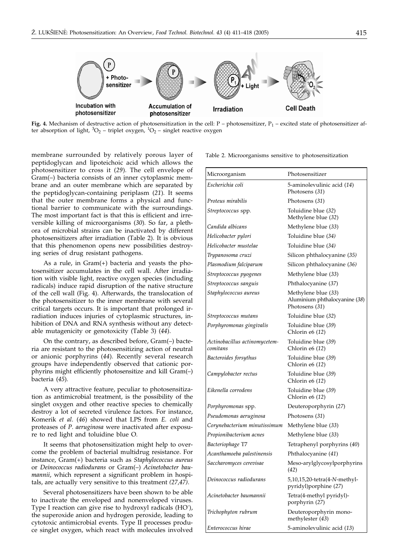

**Fig. 4.** Mechanism of destructive action of photosensitization in the cell:  $P -$ photosensitizer,  $P_1 -$ excited state of photosensitizer after absorption of light,  ${}^{3}O_{2}$  – triplet oxygen,  ${}^{1}O_{2}$  – singlet reactive oxygen

membrane surrounded by relatively porous layer of peptidoglycan and lipoteichoic acid which allows the photosensitizer to cross it (*29*)*.* The cell envelope of Gram(–) bacteria consists of an inner cytoplasmic membrane and an outer membrane which are separated by the peptidoglycan-containing periplasm (*21*)*.* It seems that the outer membrane forms a physical and functional barrier to communicate with the surroundings. The most important fact is that this is efficient and irreversible killing of microorganisms (*30*)*.* So far, a plethora of microbial strains can be inactivated by different photosensitizers after irradiation (Table 2). It is obvious that this phenomenon opens new possibilities destroying series of drug resistant pathogens.

As a rule, in Gram(+) bacteria and yeasts the photosensitizer accumulates in the cell wall. After irradiation with visible light, reactive oxygen species (including radicals) induce rapid disruption of the native structure of the cell wall (Fig. 4). Afterwards, the translocation of the photosensitizer to the inner membrane with several critical targets occurs. It is important that prolonged irradiation induces injuries of cytoplasmic structures, inhibition of DNA and RNA synthesis without any detectable mutagenicity or genotoxicity (Table 3) (*44*).

On the contrary, as described before, Gram(–) bacteria are resistant to the photosensitizing action of neutral or anionic porphyrins (*44*)*.* Recently several research groups have independently observed that cationic porphyrins might efficiently photosensitize and kill Gram(–) bacteria (*45*)*.*

A very attractive feature, peculiar to photosensitization as antimicrobial treatment, is the possibility of the singlet oxygen and other reactive species to chemically destroy a lot of secreted virulence factors. For instance, Komerik *et al*. (*46*) showed that LPS from *E. coli* and proteases of *P. aeruginosa* were inactivated after exposure to red light and toluidine blue O*.*

It seems that photosensitization might help to overcome the problem of bacterial multidrug resistance. For instance, Gram(+) bacteria such as *Staphylococcus aureus* or *Deinococcus radiodurans* or Gram(–) *Acinetobacter baumannii*, which represent a significant problem in hospitals, are actually very sensitive to this treatment *(27,47)*.

Several photosensitizers have been shown to be able to inactivate the enveloped and nonenveloped viruses. Type I reaction can give rise to hydroxyl radicals (HO. ), the superoxide anion and hydrogen peroxide, leading to cytotoxic antimicrobial events. Type II processes produce singlet oxygen, which react with molecules involved Table 2. Microorganisms sensitive to photosensitization

| Microorganism                             | Photosensitizer                                                        |  |  |
|-------------------------------------------|------------------------------------------------------------------------|--|--|
| Escherichia coli                          | 5-aminolevulinic acid (14)<br>Photosens (31)                           |  |  |
| Proteus mirabilis                         | Photosens (31)                                                         |  |  |
| Streptococcus spp.                        | Toluidine blue (32)<br>Methylene blue (32)                             |  |  |
| Candida albicans                          | Methylene blue (33)                                                    |  |  |
| Helicobacter pylori                       | Toluidine blue (34)                                                    |  |  |
| Helicobacter mustelae                     | Toluidine blue (34)                                                    |  |  |
| Trypanosoma cruzi                         | Silicon phthalocyanine (35)                                            |  |  |
| Plasmodium falciparum                     | Silicon phthalocyanine (36)                                            |  |  |
| Streptococcus pyogenes                    | Methylene blue (33)                                                    |  |  |
| Streptococcus sanguis                     | Phthalocyanine (37)                                                    |  |  |
| Staphylococcus aureus                     | Methylene blue (33)<br>Aluminium phthalocyanine (38)<br>Photosens (31) |  |  |
| Streptococcus mutans                      | Toluidine blue (32)                                                    |  |  |
| Porphyromonas gingivalis                  | Toluidine blue (39)<br>Chlorin e6 (12)                                 |  |  |
| Actinobacillus actinomycetem-<br>comitans | Toluidine blue (39)<br>Chlorin e6 (12)                                 |  |  |
| Bacteroides forsythus                     | Toluidine blue (39)<br>Chlorin e6 (12)                                 |  |  |
| Campylobacter rectus                      | Toluidine blue (39)<br>Chlorin e6 (12)                                 |  |  |
| Eikenella corrodens                       | Toluidine blue (39)<br>Chlorin e6 (12)                                 |  |  |
| Porphyromonas spp.                        | Deuteroporphyrin (27)                                                  |  |  |
| Pseudomonas aeruginosa                    | Photosens (31)                                                         |  |  |
| Corynebacterium minutissimum              | Methylene blue (33)                                                    |  |  |
| Propionibacterium acnes                   | Methylene blue (33)                                                    |  |  |
| Bacteriophage T7                          | Tetraphenyl porphyrins (40)                                            |  |  |
| Acanthamoeba palestinensis                | Phthalocyanine (41)                                                    |  |  |
| Saccharomyces cerevisae                   | Meso-arylglycosylporphyrins<br>(42)                                    |  |  |
| Deinococcus radiodurans                   | 5,10,15,20-tetra(4-N-methyl-<br>pyridyl)porphine (27)                  |  |  |
| Acinetobacter baumannii                   | Tetra(4-methyl pyridyl)-<br>porphyrin (27)                             |  |  |
| Trichophyton rubrum                       | Deuteroporphyrin mono-<br>methylester (43)                             |  |  |
| Enterococcus hirae                        | 5-aminolevulinic acid (13)                                             |  |  |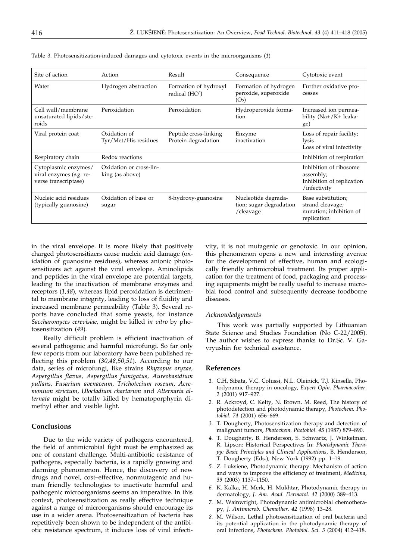| Site of action                                                          | Action                                     | Result                                       | Consequence                                                        | Cytotoxic event                                                                  |
|-------------------------------------------------------------------------|--------------------------------------------|----------------------------------------------|--------------------------------------------------------------------|----------------------------------------------------------------------------------|
| Water                                                                   | Hydrogen abstraction                       | Formation of hydroxyl<br>radical (HO')       | Formation of hydrogen<br>peroxide, superoxide<br>(O <sub>2</sub> ) | Further oxidative pro-<br>cesses                                                 |
| Cell wall/membrane<br>unsaturated lipids/ste-<br>roids                  | Peroxidation                               | Peroxidation                                 | Hydroperoxide forma-<br>tion                                       | Increased ion permea-<br>bility (Na+/K+ leaka-<br>ge)                            |
| Viral protein coat                                                      | Oxidation of<br>Tyr/Met/His residues       | Peptide cross-linking<br>Protein degradation | Enzyme<br>inactivation                                             | Loss of repair facility;<br>lysis<br>Loss of viral infectivity                   |
| Respiratory chain                                                       | Redox reactions                            |                                              |                                                                    | Inhibition of respiration                                                        |
| Cytoplasmic enzymes/<br>viral enzymes (e.g. re-<br>verse transcriptase) | Oxidation or cross-lin-<br>king (as above) |                                              |                                                                    | Inhibition of ribosome<br>assembly;<br>Inhibition of replication<br>/infectivity |
| Nucleic acid residues<br>(typically guanosine)                          | Oxidation of base or<br>sugar              | 8-hydroxy-guanosine                          | Nucleotide degrada-<br>tion; sugar degradation<br>/cleavage        | Base substitution;<br>strand cleavage;<br>mutation; inhibition of<br>replication |

Table 3. Photosensitization-induced damages and cytotoxic events in the microorganisms (*1*)

in the viral envelope. It is more likely that positively charged photosensitizers cause nucleic acid damage (oxidation of guanosine residues), whereas anionic photosensitizers act against the viral envelope. Aminolipids and peptides in the viral envelope are potential targets, leading to the inactivation of membrane enzymes and receptors (*1,48*), whereas lipid peroxidation is detrimental to membrane integrity, leading to loss of fluidity and increased membrane permeability (Table 3). Several reports have concluded that some yeasts, for instance *Saccharomyces cerevisiae,* might be killed *in vitro* by photosensitization (*49*)*.*

Really difficult problem is efficient inactivation of several pathogenic and harmful microfungi. So far only few reports from our laboratory have been published reflecting this problem (*30,48,50,51*)*.* According to our data, series of microfungi, like strains *Rhyzopus oryzae, Aspergillus flavus, Aspergillus fumigatus, Aureobasidium pullans, Fusarium avenaceum, Trichotecium roseum, Acremonium strictum, Ulocladium chartarum* and *Alternaria alternata* might be totally killed by hematoporphyrin dimethyl ether and visible light.

#### **Conclusions**

Due to the wide variety of pathogens encountered, the field of antimicrobial fight must be emphasized as one of constant challenge. Multi-antibiotic resistance of pathogens, especially bacteria, is a rapidly growing and alarming phenomenon. Hence, the discovery of new drugs and novel, cost–effective, nonmutagenic and human friendly technologies to inactivate harmful and pathogenic microorganisms seems an imperative. In this context, photosensitization as really effective technique against a range of microorganisms should encourage its use in a wider arena. Photosensitization of bacteria has repetitively been shown to be independent of the antibiotic resistance spectrum, it induces loss of viral infectivity, it is not mutagenic or genotoxic. In our opinion, this phenomenon opens a new and interesting avenue for the development of effective, human and ecologically friendly antimicrobial treatment. Its proper application for the treatment of food, packaging and processing equipments might be really useful to increase microbial food control and subsequently decrease foodborne diseases.

#### *Acknowledgements*

This work was partially supported by Lithuanian State Science and Studies Foundation (No C-22/2005). The author wishes to express thanks to Dr.Sc. V. Gavryushin for technical assistance.

## **References**

- *1.* C.H. Sibata, V.C. Colussi, N.L. Oleinick, T.J. Kinsella, Photodynamic therapy in oncology, *Expert Opin. Pharmacother*. *2* (2001) 917–927.
- *2.* R. Ackroyd, C. Kelty, N. Brown, M. Reed, The history of photodetection and photodynamic therapy, *Photochem. Photobiol. 74* (2001) 656–669.
- *3.* T. Dougherty, Photosensitization therapy and detection of malignant tumors, *Photochem. Photobiol. 45* (1987) 879–890.
- *4.* T. Dougherty, B. Henderson, S. Schwartz, J. Winkelman, R. Lipson: Historical Perspectives In: *Photodynamic Therapy: Basic Principles and Clinical Applications*, B. Henderson, T. Dougherty (Eds.), New York (1992) pp. 1–19.
- *5.* Z. Luksiene, Photodynamic therapy: Mechanism of action and ways to improve the efficiency of treatment, *Medicina, 39* (2003) 1137–1150.
- *6.* K. Kalka, H. Merk, H. Mukhtar, Photodynamic therapy in dermatology, *J. Am. Acad. Dermatol. 42* (2000) 389–413.
- *7.* M. Wainwright, Photodynamic antimicrobial chemotherapy, *J. Antimicrob. Chemother. 42* (1998) 13–28.
- *8.* M. Wilson, Lethal photosensitization of oral bacteria and its potential application in the photodynamic therapy of oral infections, *Photochem. Photobiol. Sci. 3* (2004) 412–418.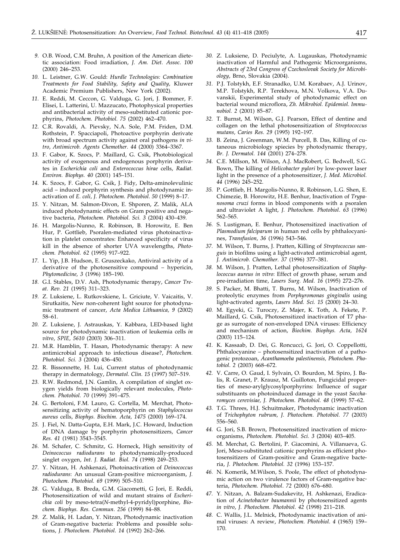- *9.* O.B. Wood, C.M. Bruhn, A position of the American dietetic association: Food irradiation, *J. Am. Diet. Assoc. 100* (2000) 246–253.
- *10.* L. Leistner, G.W. Gould: *Hurdle Technologies: Combination Treatments for Food Stability, Safety and Quality,* Kluwer Academic Premium Publishers, New York (2002).
- *11.* E. Reddi, M. Ceccon, G. Valduga, G. Jori, J. Bommer, F. Elisei, L. Latterini, U. Mazzucato, Photophysical properties and antibacterial activity of meso-substituted cationic porphyrins, *Photochem. Photobiol. 75* (2002) 462–470.
- *12.* C.R. Rovaldi, A. Pievsky, N.A. Sole, P.M. Friden, D.M. Rothstein, P. Spacciapoli, Photoactive porphyrin derivate with broad spectrum activity against oral pathogens *in vitro*, *Antimicrob. Agents Chemother. 44* (2000) 3364–3367.
- *13.* F. Gabor, K. Szocs, P. Maillard, G. Csik, Photobiological activity of exogenous and endogenous porphyrin derivates in *Escherichia coli* and *Enterococcus hirae* cells, *Radiat. Environ. Biophys. 40* (2001) 145–151.
- *14.* K. Szocs, F. Gabor, G. Csik, J. Fidy, Delta-aminolevulinic acid – induced porphyrin synthesis and photodynamic inactivation of *E. coli, J. Photochem. Photobiol*. *50* (1999) 8–17.
- *15.* Y. Nitzan, M. Salmon-Divon, E. Shporen, Z. Malik, ALA induced photodynamic effects on Gram positive and negative bacteria, *Photochem. Photobiol. Sci. 3* (2004) 430–439.
- *16.* H. Margolis-Nunno, R. Robinson, B. Horowitz, E. Ben Hur, P. Gottlieb, Psoralen-mediated virus photoinactivation in platelet concentrates: Enhanced specificity of virus kill in the absence of shorter UVA wavelengths, *Photochem. Photobiol. 62* (1995) 917–922.
- *17.* L. Yip, J.B. Hudson, E. Gruszeckako, Antiviral activity of a derivative of the photosensitive compound – hypericin, *Phytomedicine, 3* (1996) 185–190.
- *18.* G.I. Stables, D.V. Ash, Photodynamic therapy, *Cancer Treat. Rev. 21* (1995) 311–323.
- *19.* Z. Luksiene, L. Rutkovskiene, L. Griciute, V. Vaicaitis, V. Sirutkaitis, New non-coherent light source for photodynamic treatment of cancer, *Acta Medica Lithuanica, 9* (2002) 58–61.
- *20.* Z. Luksiene, J. Astrauskas, Y. Kabbara, LED-based light source for photodynamic inactivation of leukemia cells *in vitro*, *SPIE, 5610* (2003) 306–311.
- *21.* M.R. Hamblin, T. Hasan, Photodynamic therapy: A new antimicrobial approach to infectious disease?, *Photochem. Photobiol. Sci. 3* (2004) 436–450.
- *22.* R. Bissonnette, H. Lui, Current status of photodynamic therapy in dermatology, *Dermatol. Clin. 15* (1997) 507–519.
- *23.* R.W. Redmond, J.N. Gamlin, A compilation of singlet oxygen yields from biologically relevant molecules, *Photochem. Photobiol. 70* (1999) 391–475.
- *24.* G. Bertoloni, F.M. Lauro, G. Cortella, M. Merchat, Photosensitizing activity of hematoporphyrin on *Staphylococcus aureus* cells, *Biophys. Biochim. Acta, 1475* (2000) 169–174.
- *25.* J. Fiel, N. Datta-Gupta, E.H. Mark, J.C. Howard, Induction of DNA damage by porphyrin photosensitizers, *Cancer Res. 41* (1981) 3543–3545.
- *26.* M. Schafer, C. Schmitz, G. Horneck, High sensitivity of *Deinococcus radiodurans* to photodynamically-produced singlet oxygen, *Int. J. Radiat. Biol. 74* (1998) 249–253.
- *27.* Y. Nitzan, H. Ashkenazi, Photoinactivation of *Deinococcus radiodurans*: An unusual Gram-positive microorganism, *J. Photochem. Photobiol. 69* (1999) 505–510.
- *28.* G. Valduga, B. Breda, G.M. Giacometti, G Jori, E. Reddi, Photosensitization of wild and mutant strains of *Escherichia coli* by meso-tetra(*N*-methyl-4-pyridyl)porphine, *Biochem. Biophys. Res. Commun*. *256* (1999) 84–88.
- *29.* Z. Malik, H. Ladan, Y. Nitzan, Photodynamic inactivation of Gram-negative bacteria: Problems and possible solutions, *J. Photochem. Photobiol*. *14* (1992) 262–266.
- *30.* Z. Luksiene, D. Peciulyte, A. Lugauskas, Photodynamic inactivation of Harmful and Pathogenic Microorganisms, *Abstracts of 23rd Congress of Czechoslovak Society for Microbiology*, Brno, Slovakia (2004).
- *31.* P.J. Tolstykh, E.F. Stranadko, U.M. Korabaev, A.J. Urinov, M.P. Tolstykh, R.P. Terekhova, M.N. Volkova, V.A. Duvanskii, Experimental study of photodynamic effect on bacterial wound microflora, *Zh. Mikrobiol. Epidemiol. Immunobiol. 2* (2001) 85–87.
- *32.* T. Burnst, M. Wilson, G.J. Pearson, Effect of dentine and collagen on the lethal photosensitization of *Streptococcus mutans, Caries Res. 29* (1995) 192–197.
- *33.* B. Zeina, J. Greenman, W.M. Purcell, B. Das, Killing of cutaneous microbiology spiecies by photodynamic therapy, *Br. J. Dermatol. 144* (2001) 274–278.
- *34.* C.E. Millson, M. Wilson, A.J. MacRobert, G. Bedwell, S.G. Bown, The killing of *Helicobacter pylori* by low-power laser light in the presence of a photosensitizer, *J. Med. Microbiol. 44* (1996) 245–252.
- *35.* P. Gottlieb, H. Margolis-Nunno, R. Robinson, L.G. Shen, E. Chimezie, B. Horowitz, H.E. Benhur, Inactivation of *Trypanosoma cruzi* forms in blood components with a psoralen and ultraviolet A light, *J. Photochem. Photobiol*. *63* (1996) 562–565.
- *36.* S. Lustigman, E. Benhur, Photosensitized inactivation of *Plasmodium falciparum* in human red cells by phthalocyanines, *Transfusion, 36* (1996) 543–546.
- *37.* M. Wilson, T. Burns, J. Pratten, Killing of *Streptococcus sanguis* in biofilms using a light-activated antimicrobial agent, *J. Antimicrob. Chemother. 37* (1996) 377–381.
- *38.* M. Wilson, J. Pratten, Lethal photosensitization of *Staphylococcus aureus in vitro*: Effect of growth phase, serum and pre-irradiation time, *Lasers Surg. Med. 16* (1995) 272–276.
- *39.* S. Packer, M. Bhatti, T. Burns, M. Wilson, Inactivation of proteolytic enzymes from *Porphyromonas gingivalis* using light-activated agents, *Lasers Med. Sci. 15* (2000) 24–30.
- *40.* M. Egyeki, G. Turoczy, Z. Majer, K. Toth, A. Fekete, P. Maillard, G. Csik, Photosensitized inactivation of T7 phage as surrogate of non-enveloped DNA viruses: Efficiency and mechanism of action, *Biochim. Biophys. Acta, 1624* (2003) 115–124.
- *41.* K. Kassaab, D. Dei, G. Roncucci, G. Jori, O. Coppellotti, Phthalocyanine – photosensitized inactivation of a pathogenic protozoan, *Acanthamoeba palestinensis, Photochem. Photobiol*. *2* (2003) 668–672.
- *42.* V. Carre, O. Gaud, I. Sylvain, O. Bourdon, M. Spiro, J. Balis, R. Granet, P. Krausz, M. Guilloton, Fungicidal properties of meso-arylglycosylporphyrins: Influence of sugar substituants on photoinduced damage in the yeast *Saccharomyces cerevisiae, J. Photochem. Photobiol. 48* (1999) 57–62.
- *43.* T.G. Threes, H.J. Schuitmaker, Photodynamic inactivation of *Trichophyton rubrum, J. Photochem. Photobiol. 77* (2003) 556–560.
- *44.* G. Jori, S.B. Brown, Photosensitized inactivation of microorganisms, *Photochem. Photobiol. Sci. 3* (2004) 403–405.
- *45.* M. Merchat, G. Bertolini, P. Giacomini, A. Villanueva, G. Jori, Meso-substituted cationic porphyrins as efficient photosensitizers of Gram-positive and Gram-negative bacteria, *J. Photochem. Photobiol. 32* (1996) 153–157.
- *46.* N. Komerik, M.Wilson, S. Poole, The effect of photodynamic action on two virulence factors of Gram-negative bacteria, *Photochem. Photobiol*. *72* (2000) 676–680.
- *47.* Y. Nitzan, A. Balzam-Sudakevitz, H. Ashkenazi, Eradication of *Acinetobacter baumannii* by photosensitized agents *in vitro*, *J. Photochem. Photobiol*. *42* (1998) 211–218.
- *48.* C. Wallis, J.L. Melnick, Photodynamic inactivation of animal viruses: A review, *Photochem. Photobiol*. *4* (1965) 159– 170.